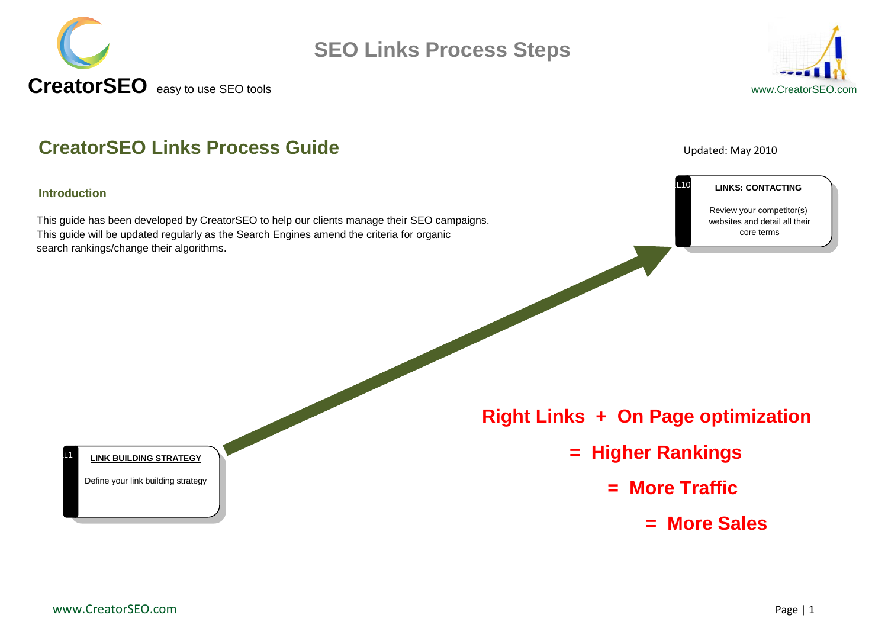



### **CreatorSEO Links Process Guide CreatorSEO Links Process Guide**

### **Introduction**

 $L1$ 

This guide has been developed by CreatorSEO to help our clients manage their SEO campaigns. This guide will be updated regularly as the Search Engines amend the criteria for organic search rankings/change their algorithms.



L10

#### **LINKS: CONTACTING**

Review your competitor(s) websites and detail all their core terms

**LINK BUILDING STRATEGY**

Define your link building strategy

### **Right Links + On Page optimization**

- **= Higher Rankings** 
	- **= More Traffic** 
		- **= More Sales**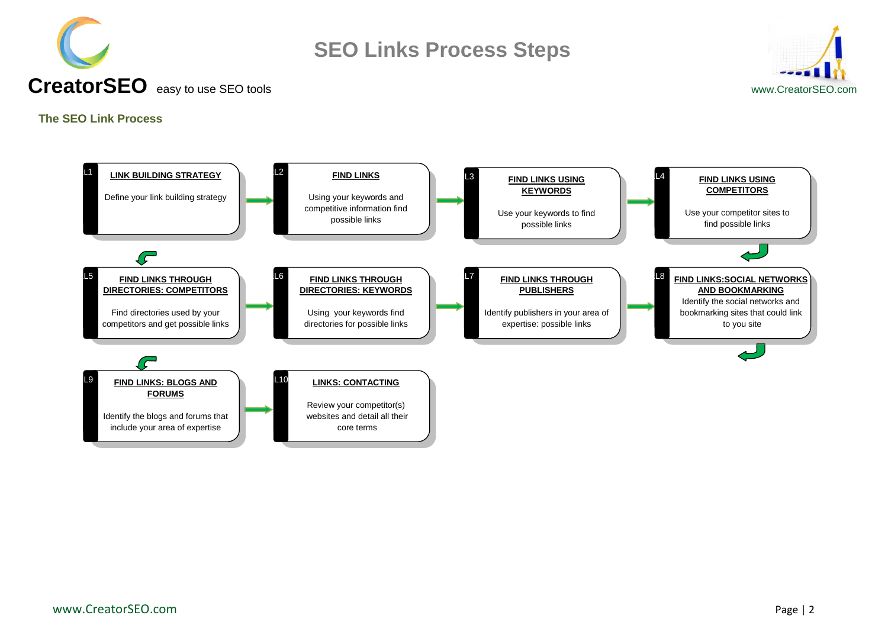



### **CreatorSEO** easy to use SEO toolswww.CreatorSEO.com

### <span id="page-1-0"></span>**The SEO Link Process**

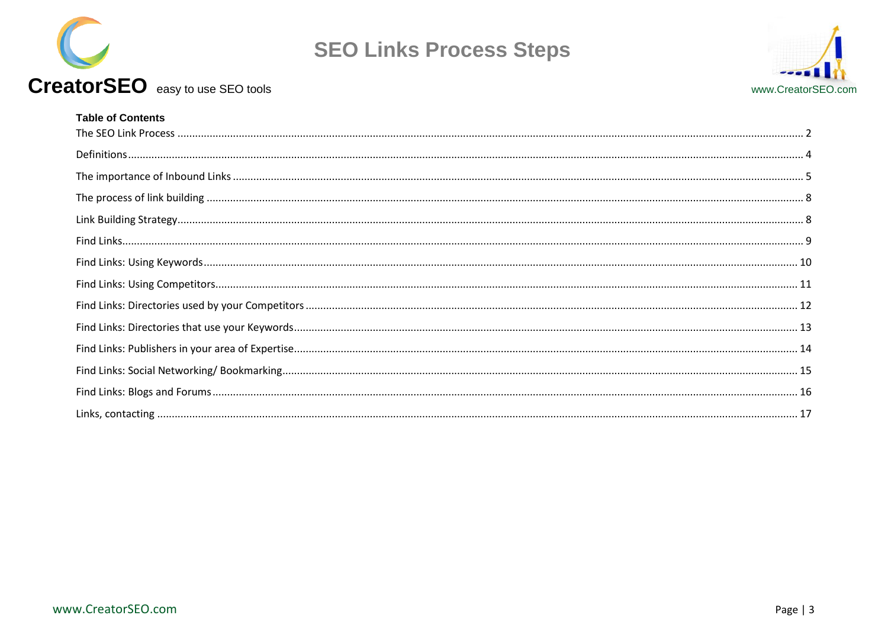

# CreatorSEO easy to use SEO tools

| <b>Table of Contents</b> |  |
|--------------------------|--|
|                          |  |
|                          |  |
|                          |  |
|                          |  |
|                          |  |
|                          |  |
|                          |  |
|                          |  |
|                          |  |
|                          |  |
|                          |  |
|                          |  |
|                          |  |
|                          |  |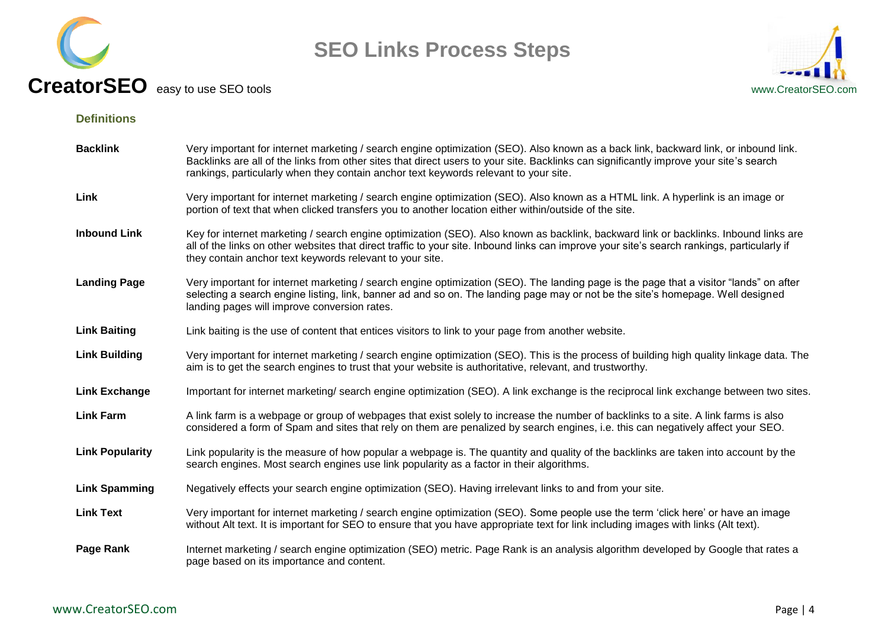



### <span id="page-3-0"></span>**Definitions**

| <b>Backlink</b>        | Very important for internet marketing / search engine optimization (SEO). Also known as a back link, backward link, or inbound link.<br>Backlinks are all of the links from other sites that direct users to your site. Backlinks can significantly improve your site's search<br>rankings, particularly when they contain anchor text keywords relevant to your site. |
|------------------------|------------------------------------------------------------------------------------------------------------------------------------------------------------------------------------------------------------------------------------------------------------------------------------------------------------------------------------------------------------------------|
| Link                   | Very important for internet marketing / search engine optimization (SEO). Also known as a HTML link. A hyperlink is an image or<br>portion of text that when clicked transfers you to another location either within/outside of the site.                                                                                                                              |
| <b>Inbound Link</b>    | Key for internet marketing / search engine optimization (SEO). Also known as backlink, backward link or backlinks. Inbound links are<br>all of the links on other websites that direct traffic to your site. Inbound links can improve your site's search rankings, particularly if<br>they contain anchor text keywords relevant to your site.                        |
| <b>Landing Page</b>    | Very important for internet marketing / search engine optimization (SEO). The landing page is the page that a visitor "lands" on after<br>selecting a search engine listing, link, banner ad and so on. The landing page may or not be the site's homepage. Well designed<br>landing pages will improve conversion rates.                                              |
| <b>Link Baiting</b>    | Link baiting is the use of content that entices visitors to link to your page from another website.                                                                                                                                                                                                                                                                    |
| <b>Link Building</b>   | Very important for internet marketing / search engine optimization (SEO). This is the process of building high quality linkage data. The<br>aim is to get the search engines to trust that your website is authoritative, relevant, and trustworthy.                                                                                                                   |
| <b>Link Exchange</b>   | Important for internet marketing/search engine optimization (SEO). A link exchange is the reciprocal link exchange between two sites.                                                                                                                                                                                                                                  |
| <b>Link Farm</b>       | A link farm is a webpage or group of webpages that exist solely to increase the number of backlinks to a site. A link farms is also<br>considered a form of Spam and sites that rely on them are penalized by search engines, i.e. this can negatively affect your SEO.                                                                                                |
| <b>Link Popularity</b> | Link popularity is the measure of how popular a webpage is. The quantity and quality of the backlinks are taken into account by the<br>search engines. Most search engines use link popularity as a factor in their algorithms.                                                                                                                                        |
| <b>Link Spamming</b>   | Negatively effects your search engine optimization (SEO). Having irrelevant links to and from your site.                                                                                                                                                                                                                                                               |
| <b>Link Text</b>       | Very important for internet marketing / search engine optimization (SEO). Some people use the term 'click here' or have an image<br>without Alt text. It is important for SEO to ensure that you have appropriate text for link including images with links (Alt text).                                                                                                |
| Page Rank              | Internet marketing / search engine optimization (SEO) metric. Page Rank is an analysis algorithm developed by Google that rates a<br>page based on its importance and content.                                                                                                                                                                                         |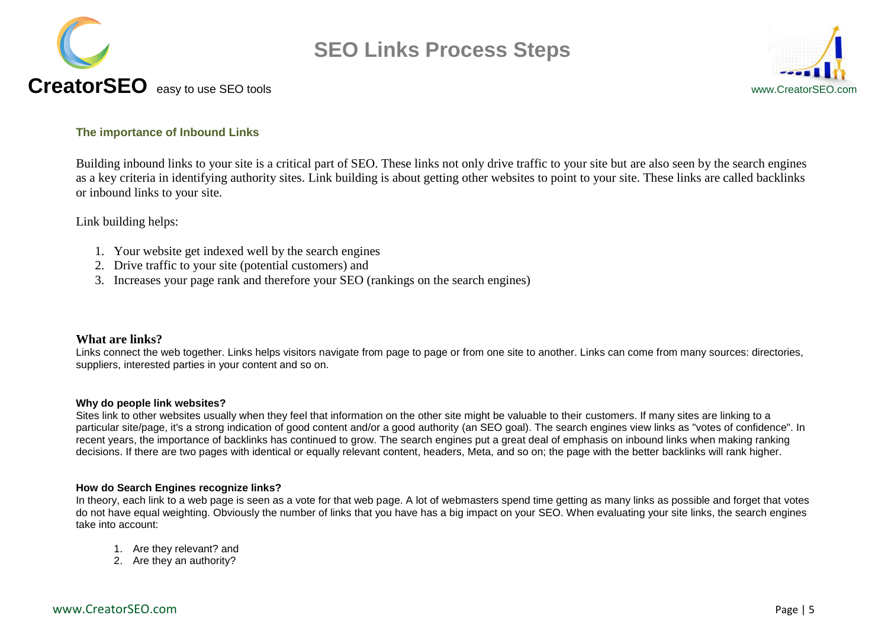



### <span id="page-4-0"></span>**The importance of Inbound Links**

Building inbound links to your site is a critical part of SEO. These links not only drive traffic to your site but are also seen by the search engines as a key criteria in identifying authority sites. Link building is about getting other websites to point to your site. These links are called backlinks or inbound links to your site.

Link building helps:

- 1. Your website get indexed well by the search engines
- 2. Drive traffic to your site (potential customers) and
- 3. Increases your page rank and therefore your SEO (rankings on the search engines)

### **What are links?**

Links connect the web together. Links helps visitors navigate from page to page or from one site to another. Links can come from many sources: directories, suppliers, interested parties in your content and so on.

### **Why do people link websites?**

Sites link to other websites usually when they feel that information on the other site might be valuable to their customers. If many sites are linking to a particular site/page, it's a strong indication of good content and/or a good authority (an SEO goal). The search engines view links as "votes of confidence". In recent years, the importance of backlinks has continued to grow. The search engines put a great deal of emphasis on inbound links when making ranking decisions. If there are two pages with identical or equally relevant content, headers, Meta, and so on; the page with the better backlinks will rank higher.

### **How do Search Engines recognize links?**

In theory, each link to a web page is seen as a vote for that web page. A lot of webmasters spend time getting as many links as possible and forget that votes do not have equal weighting. Obviously the number of links that you have has a big impact on your SEO. When evaluating your site links, the search engines take into account:

- 1. Are they relevant? and
- 2. Are they an authority?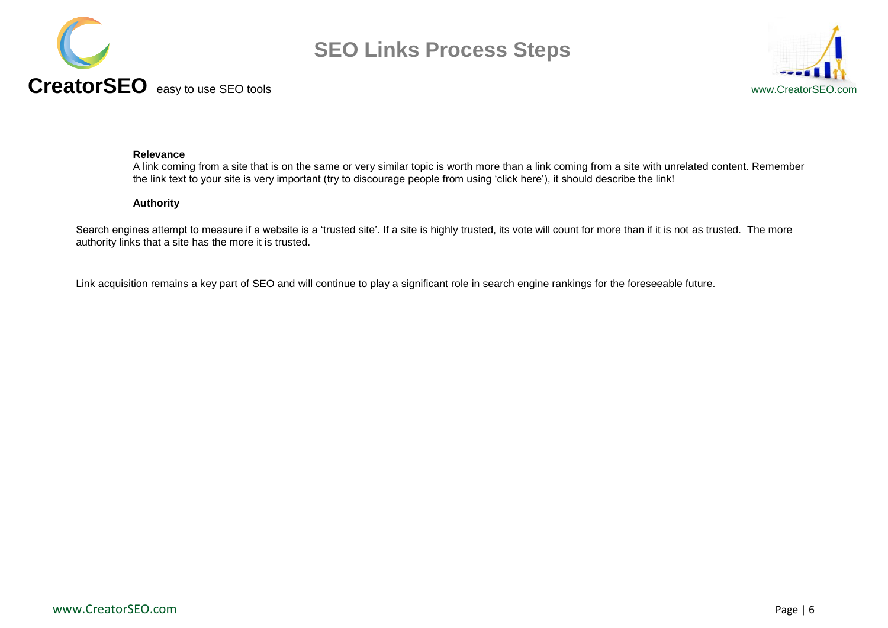



#### **Relevance**

A link coming from a site that is on the same or very similar topic is worth more than a link coming from a site with unrelated content. Remember the link text to your site is very important (try to discourage people from using "click here"), it should describe the link!

### **Authority**

Search engines attempt to measure if a website is a 'trusted site'. If a site is highly trusted, its vote will count for more than if it is not as trusted. The more authority links that a site has the more it is trusted.

Link acquisition remains a key part of SEO and will continue to play a significant role in search engine rankings for the foreseeable future.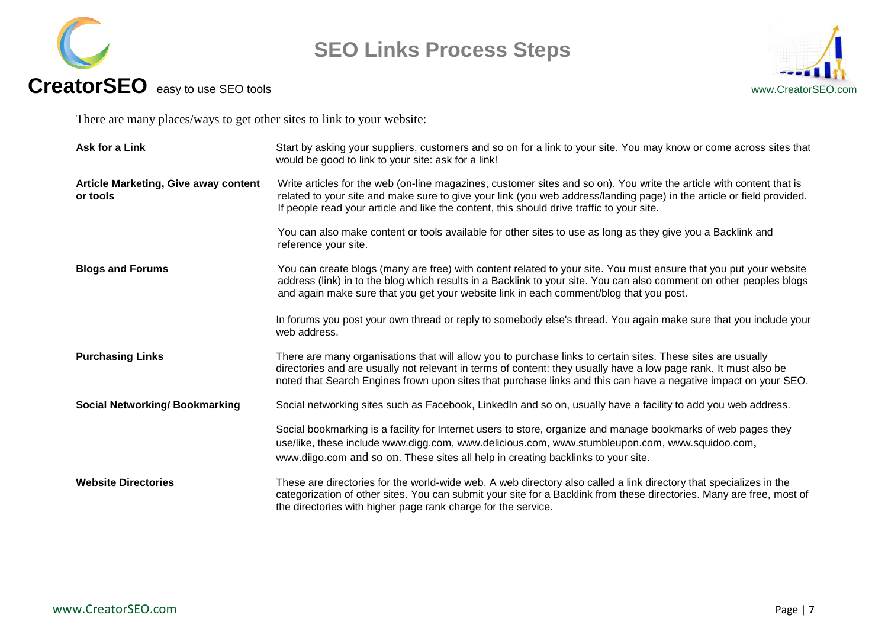



There are many places/ways to get other sites to link to your website:

| Ask for a Link                                          | Start by asking your suppliers, customers and so on for a link to your site. You may know or come across sites that<br>would be good to link to your site: ask for a link!                                                                                                                                                                          |
|---------------------------------------------------------|-----------------------------------------------------------------------------------------------------------------------------------------------------------------------------------------------------------------------------------------------------------------------------------------------------------------------------------------------------|
| <b>Article Marketing, Give away content</b><br>or tools | Write articles for the web (on-line magazines, customer sites and so on). You write the article with content that is<br>related to your site and make sure to give your link (you web address/landing page) in the article or field provided.<br>If people read your article and like the content, this should drive traffic to your site.          |
|                                                         | You can also make content or tools available for other sites to use as long as they give you a Backlink and<br>reference your site.                                                                                                                                                                                                                 |
| <b>Blogs and Forums</b>                                 | You can create blogs (many are free) with content related to your site. You must ensure that you put your website<br>address (link) in to the blog which results in a Backlink to your site. You can also comment on other peoples blogs<br>and again make sure that you get your website link in each comment/blog that you post.                  |
|                                                         | In forums you post your own thread or reply to somebody else's thread. You again make sure that you include your<br>web address.                                                                                                                                                                                                                    |
| <b>Purchasing Links</b>                                 | There are many organisations that will allow you to purchase links to certain sites. These sites are usually<br>directories and are usually not relevant in terms of content: they usually have a low page rank. It must also be<br>noted that Search Engines frown upon sites that purchase links and this can have a negative impact on your SEO. |
| <b>Social Networking/Bookmarking</b>                    | Social networking sites such as Facebook, LinkedIn and so on, usually have a facility to add you web address.                                                                                                                                                                                                                                       |
|                                                         | Social bookmarking is a facility for Internet users to store, organize and manage bookmarks of web pages they<br>use/like, these include www.digg.com, www.delicious.com, www.stumbleupon.com, www.squidoo.com,<br>www.diigo.com and so on. These sites all help in creating backlinks to your site.                                                |
| <b>Website Directories</b>                              | These are directories for the world-wide web. A web directory also called a link directory that specializes in the<br>categorization of other sites. You can submit your site for a Backlink from these directories. Many are free, most of<br>the directories with higher page rank charge for the service.                                        |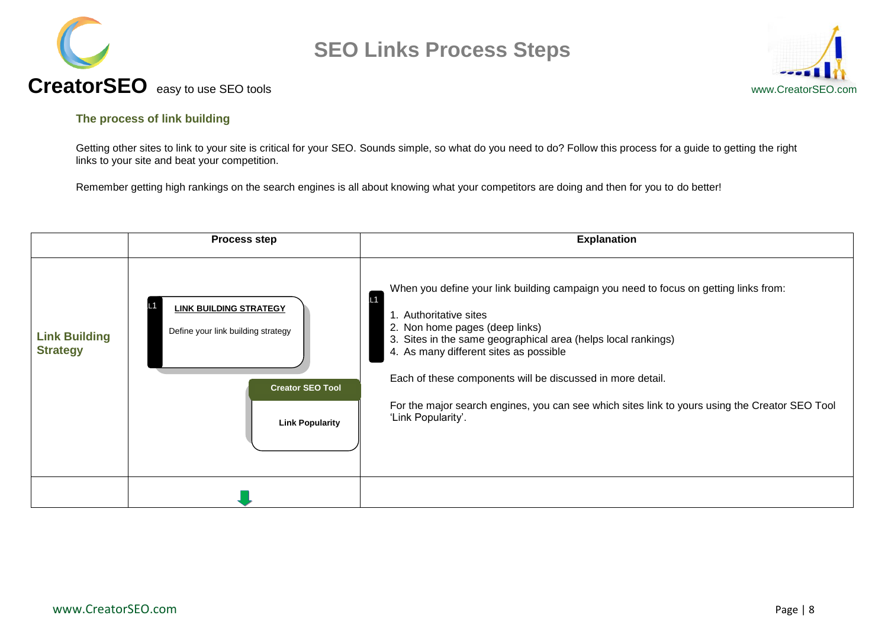



## **CreatorSEO** easy to use SEO toolswww.CreatorSEO.com

### <span id="page-7-0"></span>**The process of link building**

Getting other sites to link to your site is critical for your SEO. Sounds simple, so what do you need to do? Follow this process for a guide to getting the right links to your site and beat your competition.

Remember getting high rankings on the search engines is all about knowing what your competitors are doing and then for you to do better!

<span id="page-7-1"></span>

|                                         | <b>Process step</b>                                                                                                      | <b>Explanation</b>                                                                                                                                                                                                                                                                                                                                                                                                                                      |
|-----------------------------------------|--------------------------------------------------------------------------------------------------------------------------|---------------------------------------------------------------------------------------------------------------------------------------------------------------------------------------------------------------------------------------------------------------------------------------------------------------------------------------------------------------------------------------------------------------------------------------------------------|
| <b>Link Building</b><br><b>Strategy</b> | <b>LINK BUILDING STRATEGY</b><br>Define your link building strategy<br><b>Creator SEO Tool</b><br><b>Link Popularity</b> | When you define your link building campaign you need to focus on getting links from:<br>L1<br>1. Authoritative sites<br>2. Non home pages (deep links)<br>3. Sites in the same geographical area (helps local rankings)<br>4. As many different sites as possible<br>Each of these components will be discussed in more detail.<br>For the major search engines, you can see which sites link to yours using the Creator SEO Tool<br>'Link Popularity'. |
|                                         |                                                                                                                          |                                                                                                                                                                                                                                                                                                                                                                                                                                                         |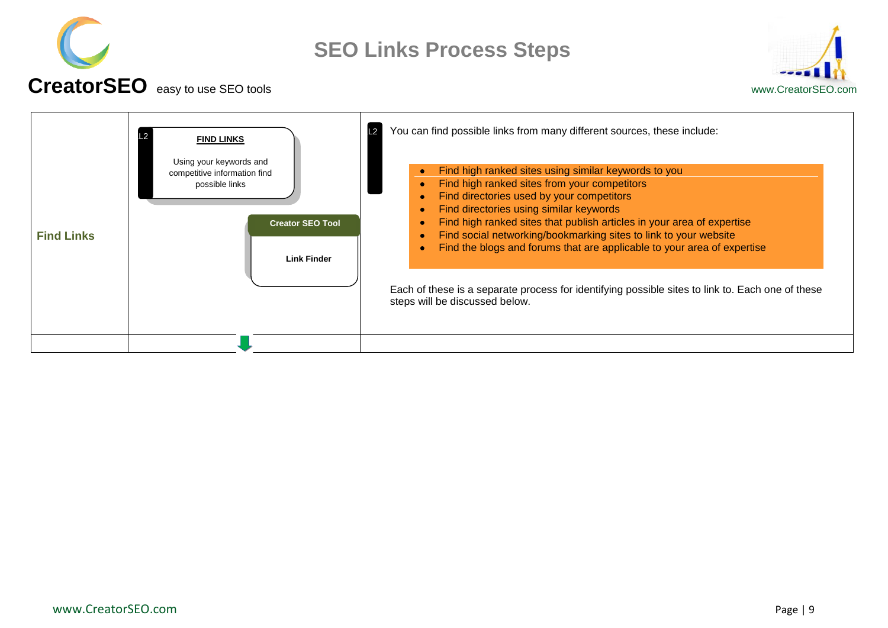



<span id="page-8-0"></span>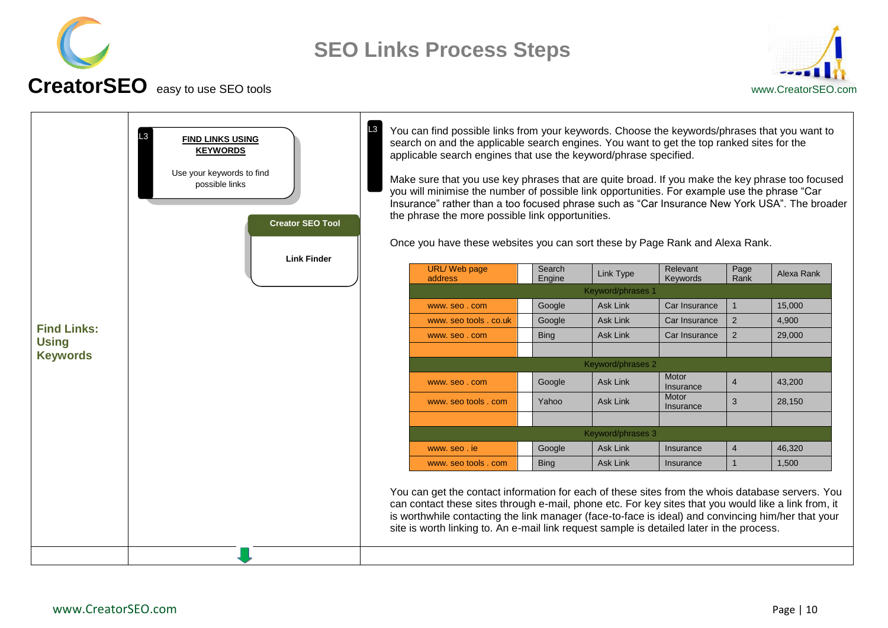



#### <span id="page-9-0"></span>**Find Links: Using Keywords** You can find possible links from your keywords. Choose the keywords/phrases that you want to search on and the applicable search engines. You want to get the top ranked sites for the applicable search engines that use the keyword/phrase specified. Make sure that you use key phrases that are quite broad. If you make the key phrase too focused you will minimise the number of possible link opportunities. For example use the phrase "Car Insurance" rather than a too focused phrase such as "Car Insurance New York USA". The broader the phrase the more possible link opportunities. Once you have these websites you can sort these by Page Rank and Alexa Rank. URL/ Web page address Search Search | Link Type | Relevant<br>
Engine | Link Type | Keywords Keywords Page<br>Rank Rank Alexa Rank Keyword/phrases 1 www.seo.com Coogle Ask Link Car Insurance 1 15,000 www. seo tools . co.uk Google Ask Link  $\boxed{\text{Car Insurance } 2}$  4,900 www.seo.com Bing Ask Link Car Insurance 2 29,000 Keyword/phrases 2 www.seo.com Google Ask Link Motor  $\frac{100}{10}$   $\frac{100}{10}$   $\frac{4}{10}$   $\frac{43}{200}$ www. seo tools . com Yahoo Ask Link Motor Insurance 3 28,150 Keyword/phrases 3 www.seo.ie | Google | Ask Link | Insurance | 4 | 46,320 www. seo tools . com | Bing | Ask Link | Insurance | 1 | 1,500 You can get the contact information for each of these sites from the whois database servers. You can contact these sites through e-mail, phone etc. For key sites that you would like a link from, it is worthwhile contacting the link manager (face-to-face is ideal) and convincing him/her that your site is worth linking to. An e-mail link request sample is detailed later in the process. **FIND LINKS USING KEYWORDS** Use your keywords to find possible links  $|L_3|$  $L3$ **Link Finder Creator SEO Tool**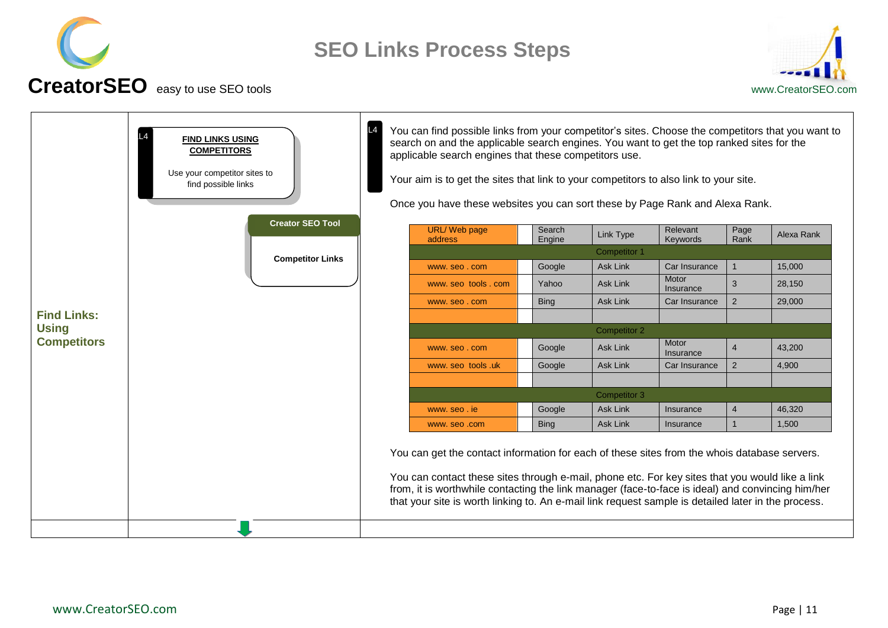



<span id="page-10-0"></span>

| <b>FIND LINKS USING</b><br><b>COMPETITORS</b><br>Use your competitor sites to<br>find possible links |                         |                                                                                                                                                                                                                                                                                                                                                                                                             | You can find possible links from your competitor's sites. Choose the competitors that you want to<br>search on and the applicable search engines. You want to get the top ranked sites for the<br>applicable search engines that these competitors use.<br>Your aim is to get the sites that link to your competitors to also link to your site.<br>Once you have these websites you can sort these by Page Rank and Alexa Rank. |                     |                     |                      |                |            |
|------------------------------------------------------------------------------------------------------|-------------------------|-------------------------------------------------------------------------------------------------------------------------------------------------------------------------------------------------------------------------------------------------------------------------------------------------------------------------------------------------------------------------------------------------------------|----------------------------------------------------------------------------------------------------------------------------------------------------------------------------------------------------------------------------------------------------------------------------------------------------------------------------------------------------------------------------------------------------------------------------------|---------------------|---------------------|----------------------|----------------|------------|
|                                                                                                      | <b>Creator SEO Tool</b> |                                                                                                                                                                                                                                                                                                                                                                                                             | <b>URL/Web page</b><br>address                                                                                                                                                                                                                                                                                                                                                                                                   | Search<br>Engine    | Link Type           | Relevant<br>Keywords | Page<br>Rank   | Alexa Rank |
| <b>Competitor Links</b>                                                                              |                         |                                                                                                                                                                                                                                                                                                                                                                                                             |                                                                                                                                                                                                                                                                                                                                                                                                                                  | <b>Competitor 1</b> |                     |                      |                |            |
|                                                                                                      |                         |                                                                                                                                                                                                                                                                                                                                                                                                             | www.seo.com                                                                                                                                                                                                                                                                                                                                                                                                                      | Google              | <b>Ask Link</b>     | Car Insurance        | $\overline{1}$ | 15,000     |
|                                                                                                      |                         |                                                                                                                                                                                                                                                                                                                                                                                                             | www.seo tools.com                                                                                                                                                                                                                                                                                                                                                                                                                | Yahoo               | <b>Ask Link</b>     | Motor<br>Insurance   | 3              | 28,150     |
|                                                                                                      |                         |                                                                                                                                                                                                                                                                                                                                                                                                             | www.seo.com                                                                                                                                                                                                                                                                                                                                                                                                                      | <b>Bing</b>         | <b>Ask Link</b>     | Car Insurance        | 2              | 29,000     |
| <b>Find Links:</b><br><b>Using</b>                                                                   |                         |                                                                                                                                                                                                                                                                                                                                                                                                             |                                                                                                                                                                                                                                                                                                                                                                                                                                  |                     |                     |                      |                |            |
|                                                                                                      |                         |                                                                                                                                                                                                                                                                                                                                                                                                             |                                                                                                                                                                                                                                                                                                                                                                                                                                  |                     | <b>Competitor 2</b> |                      |                |            |
| <b>Competitors</b>                                                                                   |                         |                                                                                                                                                                                                                                                                                                                                                                                                             | www.seo.com                                                                                                                                                                                                                                                                                                                                                                                                                      | Google              | Ask Link            | Motor<br>Insurance   | $\overline{4}$ | 43,200     |
|                                                                                                      |                         |                                                                                                                                                                                                                                                                                                                                                                                                             | www.seo tools.uk                                                                                                                                                                                                                                                                                                                                                                                                                 | Google              | <b>Ask Link</b>     | Car Insurance        | $\overline{2}$ | 4,900      |
|                                                                                                      |                         |                                                                                                                                                                                                                                                                                                                                                                                                             |                                                                                                                                                                                                                                                                                                                                                                                                                                  |                     | Competitor 3        |                      |                |            |
|                                                                                                      |                         |                                                                                                                                                                                                                                                                                                                                                                                                             | www.seo.ie                                                                                                                                                                                                                                                                                                                                                                                                                       | Google              | <b>Ask Link</b>     | Insurance            | $\overline{4}$ | 46,320     |
|                                                                                                      |                         |                                                                                                                                                                                                                                                                                                                                                                                                             | www.seo.com                                                                                                                                                                                                                                                                                                                                                                                                                      | <b>Bing</b>         | <b>Ask Link</b>     | Insurance            | $\mathbf{1}$   | 1,500      |
|                                                                                                      |                         | You can get the contact information for each of these sites from the whois database servers.<br>You can contact these sites through e-mail, phone etc. For key sites that you would like a link<br>from, it is worthwhile contacting the link manager (face-to-face is ideal) and convincing him/her<br>that your site is worth linking to. An e-mail link request sample is detailed later in the process. |                                                                                                                                                                                                                                                                                                                                                                                                                                  |                     |                     |                      |                |            |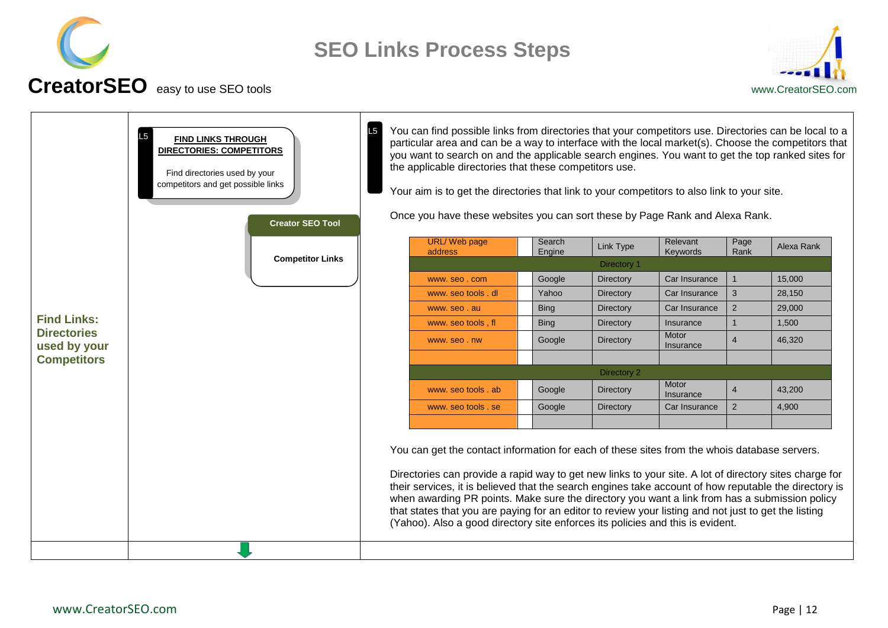



<span id="page-11-0"></span>

| L <sub>5</sub><br><b>FIND LINKS THROUGH</b><br>DIRECTORIES: COMPETITORS<br>Find directories used by your<br>competitors and get possible links<br><b>Creator SEO Tool</b> |  | L5                             | You can find possible links from directories that your competitors use. Directories can be local to a<br>particular area and can be a way to interface with the local market(s). Choose the competitors that<br>you want to search on and the applicable search engines. You want to get the top ranked sites for<br>the applicable directories that these competitors use.<br>Your aim is to get the directories that link to your competitors to also link to your site.<br>Once you have these websites you can sort these by Page Rank and Alexa Rank.                                                 |             |                      |                    |                |        |
|---------------------------------------------------------------------------------------------------------------------------------------------------------------------------|--|--------------------------------|------------------------------------------------------------------------------------------------------------------------------------------------------------------------------------------------------------------------------------------------------------------------------------------------------------------------------------------------------------------------------------------------------------------------------------------------------------------------------------------------------------------------------------------------------------------------------------------------------------|-------------|----------------------|--------------------|----------------|--------|
| <b>Competitor Links</b>                                                                                                                                                   |  | <b>URL/Web page</b><br>address | Search<br>Engine                                                                                                                                                                                                                                                                                                                                                                                                                                                                                                                                                                                           | Link Type   | Relevant<br>Keywords | Page<br>Rank       | Alexa Rank     |        |
|                                                                                                                                                                           |  |                                |                                                                                                                                                                                                                                                                                                                                                                                                                                                                                                                                                                                                            | Directory 1 |                      |                    |                |        |
|                                                                                                                                                                           |  |                                | www.seo.com                                                                                                                                                                                                                                                                                                                                                                                                                                                                                                                                                                                                | Google      | Directory            | Car Insurance      | 1              | 15,000 |
|                                                                                                                                                                           |  |                                | www. seo tools . dl                                                                                                                                                                                                                                                                                                                                                                                                                                                                                                                                                                                        | Yahoo       | Directory            | Car Insurance      | 3              | 28,150 |
|                                                                                                                                                                           |  |                                | www.seo.au                                                                                                                                                                                                                                                                                                                                                                                                                                                                                                                                                                                                 | <b>Bing</b> | Directory            | Car Insurance      | $\overline{2}$ | 29,000 |
| <b>Find Links:</b>                                                                                                                                                        |  |                                | www. seo tools, fl                                                                                                                                                                                                                                                                                                                                                                                                                                                                                                                                                                                         | <b>Bing</b> | Directory            | Insurance          | $\mathbf{1}$   | 1,500  |
| <b>Directories</b><br>used by your                                                                                                                                        |  |                                | www.seo.nw                                                                                                                                                                                                                                                                                                                                                                                                                                                                                                                                                                                                 | Google      | <b>Directory</b>     | Motor<br>Insurance | $\overline{4}$ | 46.320 |
| <b>Competitors</b>                                                                                                                                                        |  |                                |                                                                                                                                                                                                                                                                                                                                                                                                                                                                                                                                                                                                            |             | Directory 2          |                    |                |        |
|                                                                                                                                                                           |  |                                | www. seo tools, ab                                                                                                                                                                                                                                                                                                                                                                                                                                                                                                                                                                                         | Google      | Directory            | Motor<br>Insurance | $\overline{4}$ | 43,200 |
|                                                                                                                                                                           |  |                                | www. seo tools . se                                                                                                                                                                                                                                                                                                                                                                                                                                                                                                                                                                                        | Google      | Directory            | Car Insurance      | $\overline{2}$ | 4,900  |
|                                                                                                                                                                           |  |                                | You can get the contact information for each of these sites from the whois database servers.<br>Directories can provide a rapid way to get new links to your site. A lot of directory sites charge for<br>their services, it is believed that the search engines take account of how reputable the directory is<br>when awarding PR points. Make sure the directory you want a link from has a submission policy<br>that states that you are paying for an editor to review your listing and not just to get the listing<br>(Yahoo). Also a good directory site enforces its policies and this is evident. |             |                      |                    |                |        |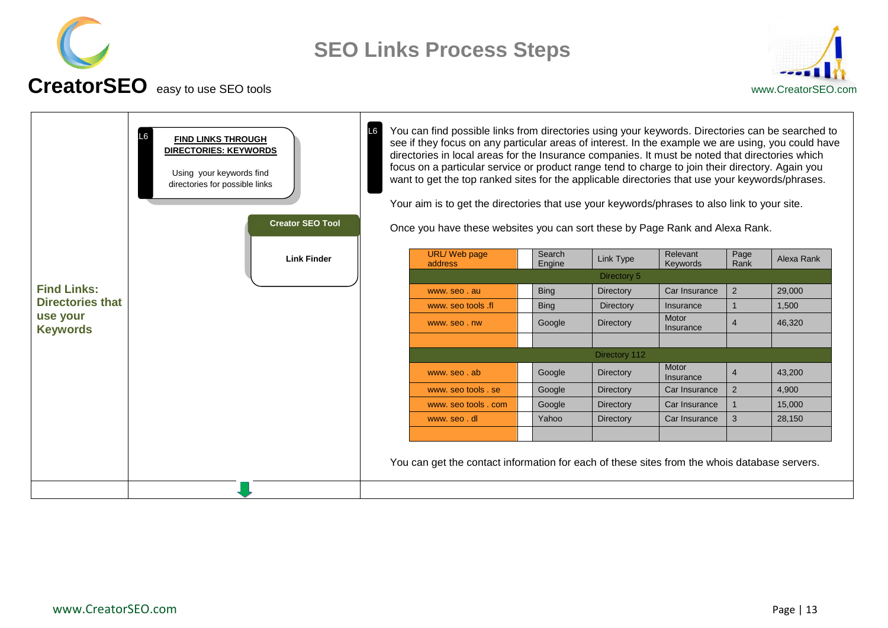



<span id="page-12-0"></span>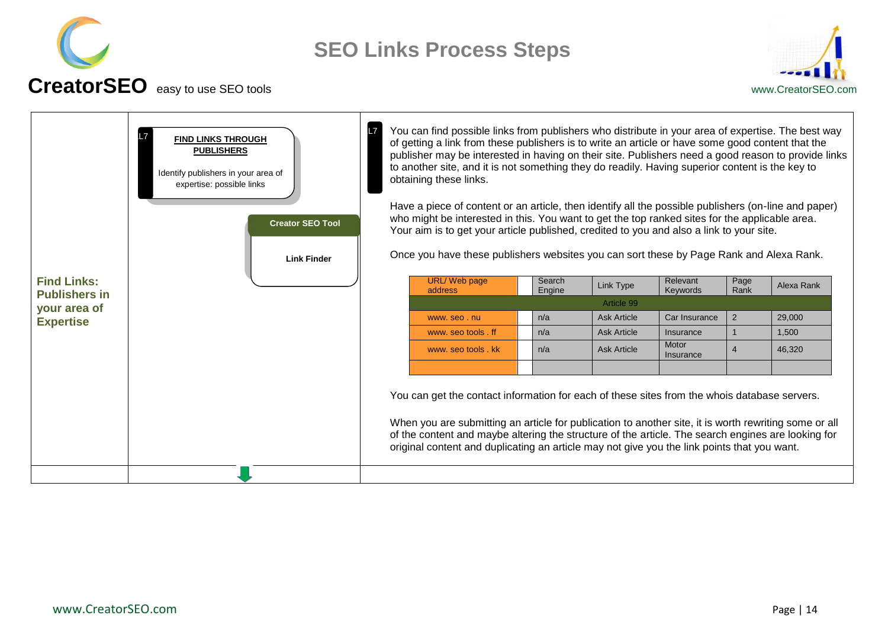



<span id="page-13-0"></span>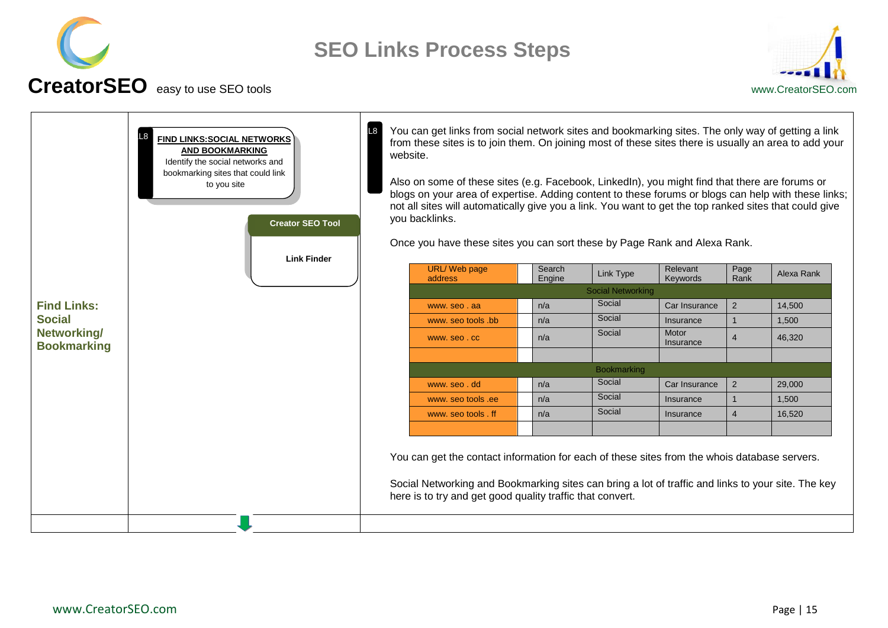



<span id="page-14-0"></span>

|                                   | FIND LINKS: SOCIAL NETWORKS<br><b>AND BOOKMARKING</b><br>Identify the social networks and<br>bookmarking sites that could link<br>to you site<br><b>Creator SEO Tool</b><br><b>Link Finder</b> | website. | You can get links from social network sites and bookmarking sites. The only way of getting a link<br>from these sites is to join them. On joining most of these sites there is usually an area to add your<br>Also on some of these sites (e.g. Facebook, LinkedIn), you might find that there are forums or<br>blogs on your area of expertise. Adding content to these forums or blogs can help with these links;<br>not all sites will automatically give you a link. You want to get the top ranked sites that could give<br>you backlinks.<br>Once you have these sites you can sort these by Page Rank and Alexa Rank. |                  |                          |                      |                |            |
|-----------------------------------|------------------------------------------------------------------------------------------------------------------------------------------------------------------------------------------------|----------|------------------------------------------------------------------------------------------------------------------------------------------------------------------------------------------------------------------------------------------------------------------------------------------------------------------------------------------------------------------------------------------------------------------------------------------------------------------------------------------------------------------------------------------------------------------------------------------------------------------------------|------------------|--------------------------|----------------------|----------------|------------|
|                                   |                                                                                                                                                                                                |          | URL/Web page<br>address                                                                                                                                                                                                                                                                                                                                                                                                                                                                                                                                                                                                      | Search<br>Engine | Link Type                | Relevant<br>Keywords | Page<br>Rank   | Alexa Rank |
|                                   |                                                                                                                                                                                                |          |                                                                                                                                                                                                                                                                                                                                                                                                                                                                                                                                                                                                                              |                  | <b>Social Networking</b> |                      |                |            |
| <b>Find Links:</b>                |                                                                                                                                                                                                |          | www.seo.aa                                                                                                                                                                                                                                                                                                                                                                                                                                                                                                                                                                                                                   | n/a              | Social                   | Car Insurance        | $\overline{2}$ | 14,500     |
| <b>Social</b>                     |                                                                                                                                                                                                |          | www. seo tools .bb                                                                                                                                                                                                                                                                                                                                                                                                                                                                                                                                                                                                           | n/a              | Social                   | Insurance            | $\mathbf{1}$   | 1,500      |
| Networking/<br><b>Bookmarking</b> |                                                                                                                                                                                                |          | www.seo.cc                                                                                                                                                                                                                                                                                                                                                                                                                                                                                                                                                                                                                   | n/a              | Social                   | Motor<br>Insurance   | 4              | 46,320     |
|                                   |                                                                                                                                                                                                |          |                                                                                                                                                                                                                                                                                                                                                                                                                                                                                                                                                                                                                              |                  | <b>Bookmarking</b>       |                      |                |            |
|                                   |                                                                                                                                                                                                |          | www.seo.dd                                                                                                                                                                                                                                                                                                                                                                                                                                                                                                                                                                                                                   | n/a              | Social                   | Car Insurance        | $\overline{2}$ | 29,000     |
|                                   |                                                                                                                                                                                                |          | www. seo tools .ee                                                                                                                                                                                                                                                                                                                                                                                                                                                                                                                                                                                                           | n/a              | Social                   | Insurance            | $\mathbf{1}$   | 1,500      |
|                                   |                                                                                                                                                                                                |          | www. seo tools . ff                                                                                                                                                                                                                                                                                                                                                                                                                                                                                                                                                                                                          | n/a              | Social                   | Insurance            | $\overline{4}$ | 16,520     |
|                                   |                                                                                                                                                                                                |          | You can get the contact information for each of these sites from the whois database servers.<br>Social Networking and Bookmarking sites can bring a lot of traffic and links to your site. The key<br>here is to try and get good quality traffic that convert.                                                                                                                                                                                                                                                                                                                                                              |                  |                          |                      |                |            |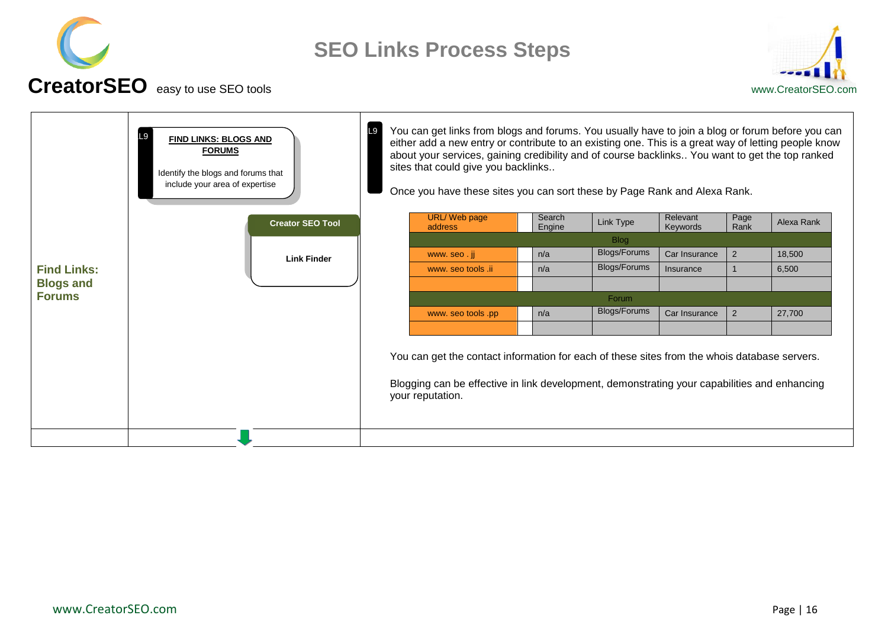



<span id="page-15-0"></span>

|                    | FIND LINKS: BLOGS AND<br><b>FORUMS</b><br>Identify the blogs and forums that<br>include your area of expertise | L9 | You can get links from blogs and forums. You usually have to join a blog or forum before you can<br>either add a new entry or contribute to an existing one. This is a great way of letting people know<br>about your services, gaining credibility and of course backlinks You want to get the top ranked<br>sites that could give you backlinks<br>Once you have these sites you can sort these by Page Rank and Alexa Rank. |                  |              |                      |                |            |
|--------------------|----------------------------------------------------------------------------------------------------------------|----|--------------------------------------------------------------------------------------------------------------------------------------------------------------------------------------------------------------------------------------------------------------------------------------------------------------------------------------------------------------------------------------------------------------------------------|------------------|--------------|----------------------|----------------|------------|
|                    | <b>Creator SEO Tool</b>                                                                                        |    | <b>URL/Web page</b><br>address                                                                                                                                                                                                                                                                                                                                                                                                 | Search<br>Engine | Link Type    | Relevant<br>Keywords | Page<br>Rank   | Alexa Rank |
|                    |                                                                                                                |    |                                                                                                                                                                                                                                                                                                                                                                                                                                |                  | <b>Blog</b>  |                      |                |            |
|                    | <b>Link Finder</b>                                                                                             |    | www.seo.ji                                                                                                                                                                                                                                                                                                                                                                                                                     | n/a              | Blogs/Forums | Car Insurance        | $\overline{2}$ | 18,500     |
| <b>Find Links:</b> |                                                                                                                |    | www. seo tools .ii                                                                                                                                                                                                                                                                                                                                                                                                             | n/a              | Blogs/Forums | Insurance            |                | 6,500      |
| <b>Blogs and</b>   |                                                                                                                |    |                                                                                                                                                                                                                                                                                                                                                                                                                                |                  |              |                      |                |            |
| <b>Forums</b>      |                                                                                                                |    |                                                                                                                                                                                                                                                                                                                                                                                                                                |                  | Forum        |                      |                |            |
|                    |                                                                                                                |    | www. seo tools .pp                                                                                                                                                                                                                                                                                                                                                                                                             | n/a              | Blogs/Forums | Car Insurance        | $\overline{2}$ | 27,700     |
|                    |                                                                                                                |    |                                                                                                                                                                                                                                                                                                                                                                                                                                |                  |              |                      |                |            |
|                    |                                                                                                                |    | You can get the contact information for each of these sites from the whois database servers.<br>Blogging can be effective in link development, demonstrating your capabilities and enhancing<br>your reputation.                                                                                                                                                                                                               |                  |              |                      |                |            |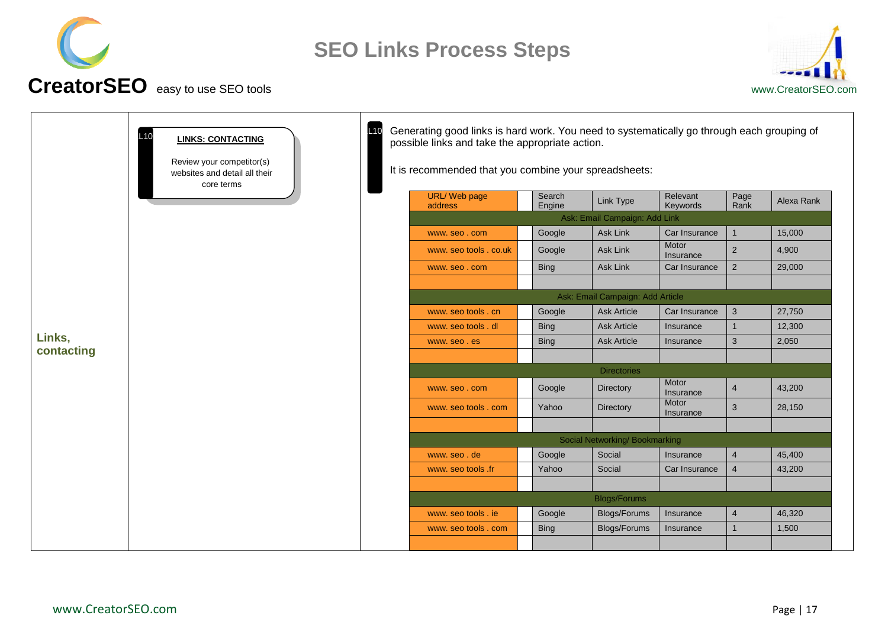



<span id="page-16-0"></span>

| <b>LINKS: CONTACTING</b><br>Review your competitor(s)<br>websites and detail all their<br>core terms | L10 | Generating good links is hard work. You need to systematically go through each grouping of<br>possible links and take the appropriate action.<br>It is recommended that you combine your spreadsheets: |                                             |                                  |                                            |                        |                                |            |
|------------------------------------------------------------------------------------------------------|-----|--------------------------------------------------------------------------------------------------------------------------------------------------------------------------------------------------------|---------------------------------------------|----------------------------------|--------------------------------------------|------------------------|--------------------------------|------------|
|                                                                                                      |     |                                                                                                                                                                                                        | <b>URL/Web page</b><br>address              | Search<br>Engine                 | Link Type                                  | Relevant<br>Keywords   | Page<br>Rank                   | Alexa Rank |
|                                                                                                      |     |                                                                                                                                                                                                        |                                             |                                  | Ask: Email Campaign: Add Link              |                        |                                |            |
|                                                                                                      |     |                                                                                                                                                                                                        | www.seo.com                                 | Google                           | Ask Link                                   | Car Insurance          | $\mathbf{1}$                   | 15,000     |
|                                                                                                      |     |                                                                                                                                                                                                        | www. seo tools . co.uk                      | Google                           | <b>Ask Link</b>                            | Motor<br>Insurance     | $\overline{2}$                 | 4,900      |
|                                                                                                      |     |                                                                                                                                                                                                        | www.seo.com                                 | <b>Bing</b>                      | Ask Link                                   | Car Insurance          | $\sqrt{2}$                     | 29,000     |
|                                                                                                      |     |                                                                                                                                                                                                        |                                             |                                  |                                            |                        |                                |            |
|                                                                                                      |     |                                                                                                                                                                                                        |                                             | Ask: Email Campaign: Add Article |                                            |                        |                                |            |
|                                                                                                      |     |                                                                                                                                                                                                        | www. seo tools . cn                         | Google                           | <b>Ask Article</b>                         | Car Insurance          | $\mathbf{3}$                   | 27,750     |
|                                                                                                      |     |                                                                                                                                                                                                        | www. seo tools, dl                          | <b>Bing</b>                      | <b>Ask Article</b>                         | Insurance              | $\mathbf{1}$                   | 12,300     |
| Links,<br>contacting                                                                                 |     |                                                                                                                                                                                                        | www.seo.es                                  | <b>Bing</b>                      | <b>Ask Article</b>                         | Insurance              | 3                              | 2,050      |
|                                                                                                      |     |                                                                                                                                                                                                        |                                             |                                  |                                            |                        |                                |            |
|                                                                                                      |     |                                                                                                                                                                                                        |                                             |                                  | <b>Directories</b>                         | Motor                  |                                |            |
|                                                                                                      |     |                                                                                                                                                                                                        | www.seo.com                                 | Google                           | <b>Directory</b>                           | Insurance              | $\overline{4}$                 | 43,200     |
|                                                                                                      |     |                                                                                                                                                                                                        | www. seo tools . com                        | Yahoo                            | Directory                                  | Motor<br>Insurance     | 3                              | 28,150     |
|                                                                                                      |     |                                                                                                                                                                                                        |                                             |                                  |                                            |                        |                                |            |
|                                                                                                      |     |                                                                                                                                                                                                        |                                             |                                  | Social Networking/Bookmarking              |                        |                                |            |
|                                                                                                      |     |                                                                                                                                                                                                        | www.seo.de                                  | Google                           | Social                                     | Insurance              | 4                              | 45,400     |
|                                                                                                      |     |                                                                                                                                                                                                        | www. seo tools .fr                          | Yahoo                            | Social                                     | Car Insurance          | $\overline{4}$                 | 43,200     |
|                                                                                                      |     |                                                                                                                                                                                                        |                                             |                                  |                                            |                        |                                |            |
|                                                                                                      |     |                                                                                                                                                                                                        |                                             |                                  | <b>Blogs/Forums</b>                        |                        |                                | 46,320     |
|                                                                                                      |     |                                                                                                                                                                                                        | www. seo tools . ie<br>www. seo tools . com | Google<br><b>Bing</b>            | <b>Blogs/Forums</b><br><b>Blogs/Forums</b> | Insurance<br>Insurance | $\overline{4}$<br>$\mathbf{1}$ | 1,500      |
|                                                                                                      |     |                                                                                                                                                                                                        |                                             |                                  |                                            |                        |                                |            |
|                                                                                                      |     |                                                                                                                                                                                                        |                                             |                                  |                                            |                        |                                |            |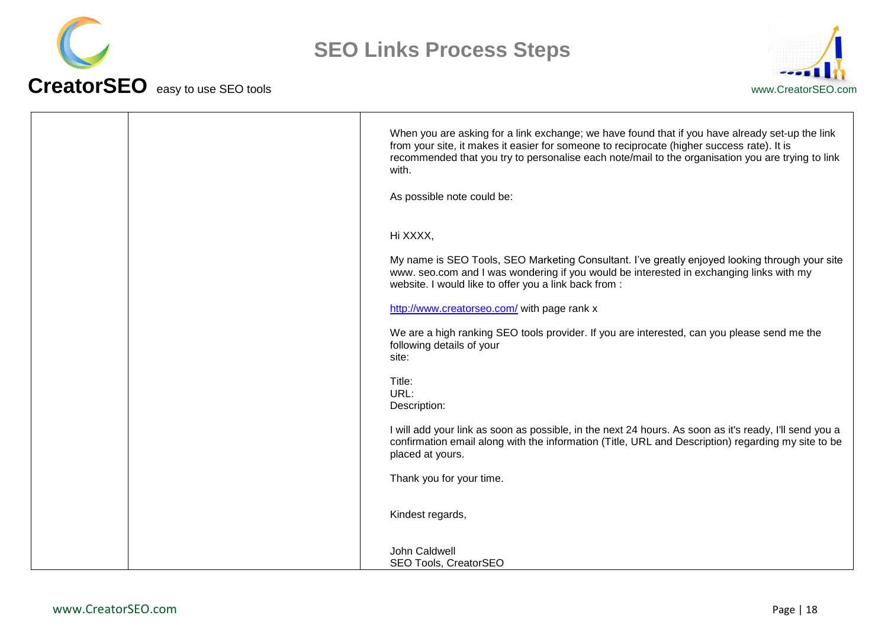



| When you are asking for a link exchange; we have found that if you have already set-up the link<br>from your site, it makes it easier for someone to reciprocate (higher success rate). It is<br>recommended that you try to personalise each note/mail to the organisation you are trying to link<br>with.<br>As possible note could be: |
|-------------------------------------------------------------------------------------------------------------------------------------------------------------------------------------------------------------------------------------------------------------------------------------------------------------------------------------------|
| Hi XXXX,<br>My name is SEO Tools, SEO Marketing Consultant. I've greatly enjoyed looking through your site                                                                                                                                                                                                                                |
| www. seo.com and I was wondering if you would be interested in exchanging links with my<br>website. I would like to offer you a link back from :<br>http://www.creatorseo.com/ with page rank x                                                                                                                                           |
| We are a high ranking SEO tools provider. If you are interested, can you please send me the<br>following details of your<br>site:                                                                                                                                                                                                         |
| Title:<br>URL:<br>Description:                                                                                                                                                                                                                                                                                                            |
| I will add your link as soon as possible, in the next 24 hours. As soon as it's ready, I'll send you a<br>confirmation email along with the information (Title, URL and Description) regarding my site to be<br>placed at yours.                                                                                                          |
| Thank you for your time.<br>Kindest regards,                                                                                                                                                                                                                                                                                              |
| John Caldwell                                                                                                                                                                                                                                                                                                                             |
| SEO Tools, CreatorSEO                                                                                                                                                                                                                                                                                                                     |